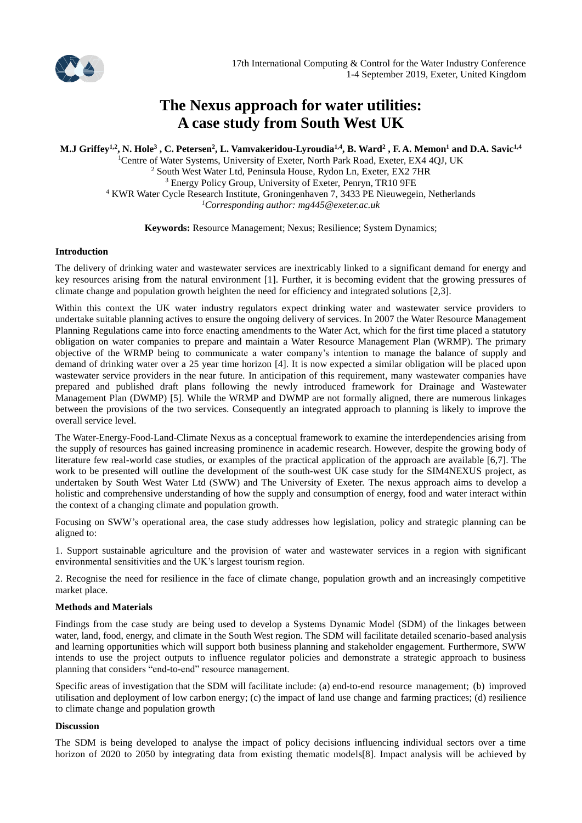

# **The Nexus approach for water utilities: A case study from South West UK**

**M.J Griffey1,2 , N. Hole<sup>3</sup> , C. Petersen<sup>2</sup> , L. Vamvakeridou-Lyroudia1,4 , B. Ward<sup>2</sup> , F. A. Memon<sup>1</sup> and D.A. Savic1,4**

<sup>1</sup>Centre of Water Systems, University of Exeter, North Park Road, Exeter, EX4 4QJ, UK <sup>2</sup> South West Water Ltd, Peninsula House, Rydon Ln, Exeter, EX2 7HR <sup>3</sup> Energy Policy Group, University of Exeter, Penryn, TR10 9FE <sup>4</sup> KWR Water Cycle Research Institute, Groningenhaven 7, 3433 PE Nieuwegein, Netherlands *<sup>1</sup>Corresponding author: mg445@exeter.ac.uk*

**Keywords:** Resource Management; Nexus; Resilience; System Dynamics;

#### **Introduction**

The delivery of drinking water and wastewater services are inextricably linked to a significant demand for energy and key resources arising from the natural environment [1]. Further, it is becoming evident that the growing pressures of climate change and population growth heighten the need for efficiency and integrated solutions [2,3].

Within this context the UK water industry regulators expect drinking water and wastewater service providers to undertake suitable planning actives to ensure the ongoing delivery of services. In 2007 the Water Resource Management Planning Regulations came into force enacting amendments to the Water Act, which for the first time placed a statutory obligation on water companies to prepare and maintain a Water Resource Management Plan (WRMP). The primary objective of the WRMP being to communicate a water company's intention to manage the balance of supply and demand of drinking water over a 25 year time horizon [4]. It is now expected a similar obligation will be placed upon wastewater service providers in the near future. In anticipation of this requirement, many wastewater companies have prepared and published draft plans following the newly introduced framework for Drainage and Wastewater Management Plan (DWMP) [5]. While the WRMP and DWMP are not formally aligned, there are numerous linkages between the provisions of the two services. Consequently an integrated approach to planning is likely to improve the overall service level.

The Water-Energy-Food-Land-Climate Nexus as a conceptual framework to examine the interdependencies arising from the supply of resources has gained increasing prominence in academic research. However, despite the growing body of literature few real-world case studies, or examples of the practical application of the approach are available [6,7]. The work to be presented will outline the development of the south-west UK case study for the SIM4NEXUS project, as undertaken by South West Water Ltd (SWW) and The University of Exeter. The nexus approach aims to develop a holistic and comprehensive understanding of how the supply and consumption of energy, food and water interact within the context of a changing climate and population growth.

Focusing on SWW's operational area, the case study addresses how legislation, policy and strategic planning can be aligned to:

1. Support sustainable agriculture and the provision of water and wastewater services in a region with significant environmental sensitivities and the UK's largest tourism region.

2. Recognise the need for resilience in the face of climate change, population growth and an increasingly competitive market place.

# **Methods and Materials**

Findings from the case study are being used to develop a Systems Dynamic Model (SDM) of the linkages between water, land, food, energy, and climate in the South West region. The SDM will facilitate detailed scenario-based analysis and learning opportunities which will support both business planning and stakeholder engagement. Furthermore, SWW intends to use the project outputs to influence regulator policies and demonstrate a strategic approach to business planning that considers "end-to-end" resource management.

Specific areas of investigation that the SDM will facilitate include: (a) end-to-end resource management; (b) improved utilisation and deployment of low carbon energy; (c) the impact of land use change and farming practices; (d) resilience to climate change and population growth

#### **Discussion**

The SDM is being developed to analyse the impact of policy decisions influencing individual sectors over a time horizon of 2020 to 2050 by integrating data from existing thematic models[8]. Impact analysis will be achieved by